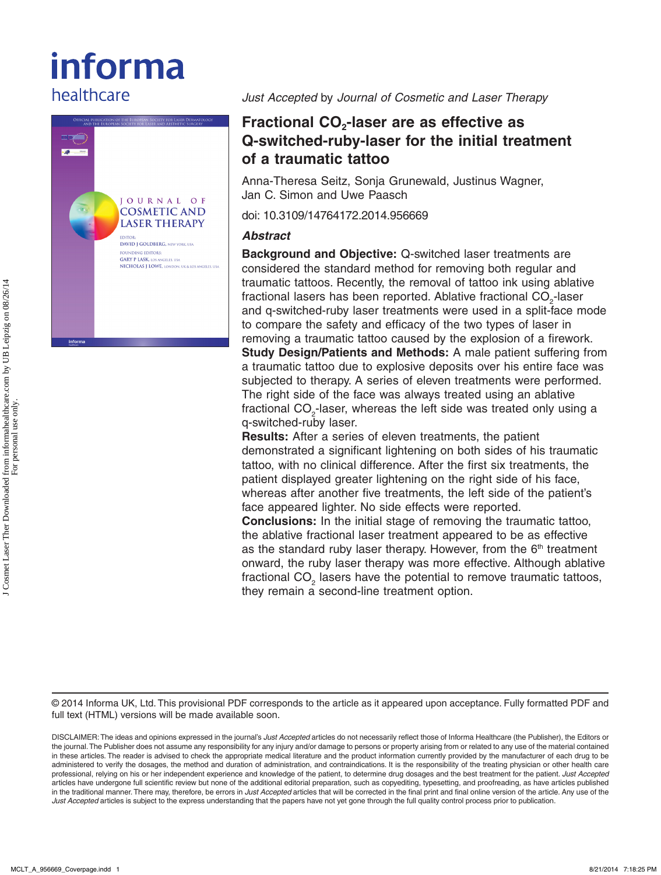# informa healthcare



*Just Accepted* by *Journal of Cosmetic and Laser Therapy*

# **Fractional CO<sub>2</sub>-laser are as effective as Q-switched-ruby-laser for the initial treatment of a traumatic tattoo**

Anna-Theresa Seitz, Sonja Grunewald, Justinus Wagner, Jan C. Simon and Uwe Paasch

doi: 10.3109/14764172.2014.956669

## *Abstract*

**Background and Objective:** Q-switched laser treatments are considered the standard method for removing both regular and traumatic tattoos. Recently, the removal of tattoo ink using ablative fractional lasers has been reported. Ablative fractional CO<sub>2</sub>-laser and q-switched-ruby laser treatments were used in a split-face mode to compare the safety and efficacy of the two types of laser in removing a traumatic tattoo caused by the explosion of a firework. **Study Design/Patients and Methods:** A male patient suffering from a traumatic tattoo due to explosive deposits over his entire face was subjected to therapy. A series of eleven treatments were performed. The right side of the face was always treated using an ablative fractional CO<sub>2</sub>-laser, whereas the left side was treated only using a q-switched-ruby laser.

**Results:** After a series of eleven treatments, the patient demonstrated a significant lightening on both sides of his traumatic tattoo, with no clinical difference. After the first six treatments, the patient displayed greater lightening on the right side of his face, whereas after another five treatments, the left side of the patient's face appeared lighter. No side effects were reported.

**Conclusions:** In the initial stage of removing the traumatic tattoo, the ablative fractional laser treatment appeared to be as effective as the standard ruby laser therapy. However, from the  $6<sup>th</sup>$  treatment onward, the ruby laser therapy was more effective. Although ablative fractional CO<sub>2</sub> lasers have the potential to remove traumatic tattoos, they remain a second-line treatment option.

© 2014 Informa UK, Ltd. This provisional PDF corresponds to the article as it appeared upon acceptance. Fully formatted PDF and full text (HTML) versions will be made available soon.

DISCLAIMER: The ideas and opinions expressed in the journal's *Just Accepted* articles do not necessarily reflect those of Informa Healthcare (the Publisher), the Editors or the journal. The Publisher does not assume any responsibility for any injury and/or damage to persons or property arising from or related to any use of the material contained in these articles. The reader is advised to check the appropriate medical literature and the product information currently provided by the manufacturer of each drug to be administered to verify the dosages, the method and duration of administration, and contraindications. It is the responsibility of the treating physician or other health care professional, relying on his or her independent experience and knowledge of the patient, to determine drug dosages and the best treatment for the patient. *Just Accepted* articles have undergone full scientific review but none of the additional editorial preparation, such as copyediting, typesetting, and proofreading, as have articles published in the traditional manner. There may, therefore, be errors in *Just Accepted* articles that will be corrected in the final print and final online version of the article. Any use of the *Just Accepted* articles is subject to the express understanding that the papers have not yet gone through the full quality control process prior to publication.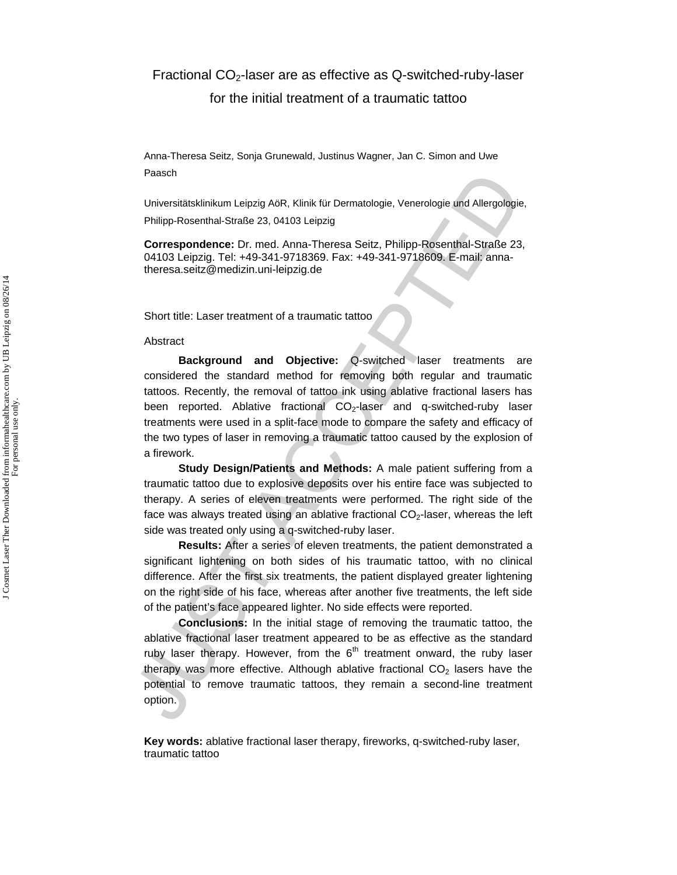### Fractional  $CO<sub>2</sub>$ -laser are as effective as Q-switched-ruby-laser

for the initial treatment of a traumatic tattoo

Anna-Theresa Seitz, Sonja Grunewald, Justinus Wagner, Jan C. Simon and Uwe Paasch

Universitätsklinikum Leipzig AöR, Klinik für Dermatologie, Venerologie und Allergologie, Philipp-Rosenthal-Straße 23, 04103 Leipzig

**Correspondence:** Dr. med. Anna-Theresa Seitz, Philipp-Rosenthal-Straße 23, 04103 Leipzig. Tel: +49-341-9718369. Fax: +49-341-9718609. E-mail: annatheresa.seitz@medizin.uni-leipzig.de

Short title: Laser treatment of a traumatic tattoo

#### Abstract

Franchine<br>
Universitetskinikum Leipzig AGR, Klinik für Dermatologie, Venerologie und Allergologie<br>
Philipp-Rosenthal-Straße 23, 04103 Leipzig<br>
Orrespondence: Dr. med. Anna-Theresa Seitz, Philipp-Rosenthal-Straße 23<br>
Orresp **Background and Objective:** Q-switched laser treatments are considered the standard method for removing both regular and traumatic tattoos. Recently, the removal of tattoo ink using ablative fractional lasers has been reported. Ablative fractional  $CO<sub>2</sub>$ -laser and q-switched-ruby laser treatments were used in a split-face mode to compare the safety and efficacy of the two types of laser in removing a traumatic tattoo caused by the explosion of a firework.

**Study Design/Patients and Methods:** A male patient suffering from a traumatic tattoo due to explosive deposits over his entire face was subjected to therapy. A series of eleven treatments were performed. The right side of the face was always treated using an ablative fractional CO<sub>2</sub>-laser, whereas the left side was treated only using a q-switched-ruby laser.

**Results:** After a series of eleven treatments, the patient demonstrated a significant lightening on both sides of his traumatic tattoo, with no clinical difference. After the first six treatments, the patient displayed greater lightening on the right side of his face, whereas after another five treatments, the left side of the patient's face appeared lighter. No side effects were reported.

**Conclusions:** In the initial stage of removing the traumatic tattoo, the ablative fractional laser treatment appeared to be as effective as the standard ruby laser therapy. However, from the  $6<sup>th</sup>$  treatment onward, the ruby laser therapy was more effective. Although ablative fractional  $CO<sub>2</sub>$  lasers have the potential to remove traumatic tattoos, they remain a second-line treatment option.

**Key words:** ablative fractional laser therapy, fireworks, q-switched-ruby laser, traumatic tattoo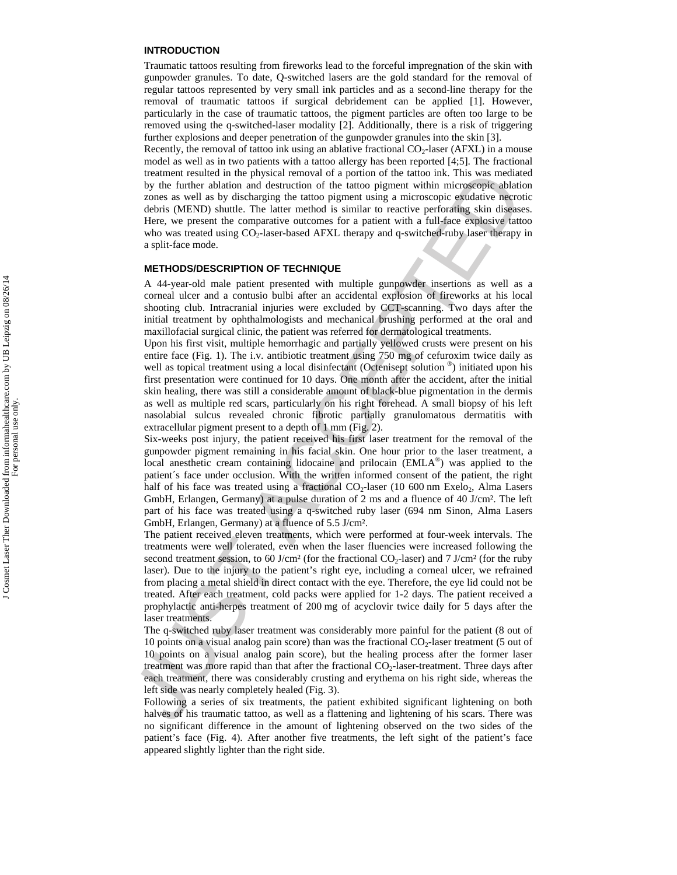#### **INTRODUCTION**

Traumatic tattoos resulting from fireworks lead to the forceful impregnation of the skin with gunpowder granules. To date, Q-switched lasers are the gold standard for the removal of regular tattoos represented by very small ink particles and as a second-line therapy for the removal of traumatic tattoos if surgical debridement can be applied [1]. However, particularly in the case of traumatic tattoos, the pigment particles are often too large to be removed using the q-switched-laser modality [2]. Additionally, there is a risk of triggering further explosions and deeper penetration of the gunpowder granules into the skin [3].

Recently, the removal of tattoo ink using an ablative fractional  $CO<sub>2</sub>$ -laser (AFXL) in a mouse model as well as in two patients with a tattoo allergy has been reported [4;5]. The fractional treatment resulted in the physical removal of a portion of the tattoo ink. This was mediated by the further ablation and destruction of the tattoo pigment within microscopic ablation zones as well as by discharging the tattoo pigment using a microscopic exudative necrotic debris (MEND) shuttle. The latter method is similar to reactive perforating skin diseases. Here, we present the comparative outcomes for a patient with a full-face explosive tattoo who was treated using CO<sub>2</sub>-laser-based AFXL therapy and q-switched-ruby laser therapy in a split-face mode.

#### **METHODS/DESCRIPTION OF TECHNIQUE**

A 44-year-old male patient presented with multiple gunpowder insertions as well as a corneal ulcer and a contusio bulbi after an accidental explosion of fireworks at his local shooting club. Intracranial injuries were excluded by CCT-scanning. Two days after the initial treatment by ophthalmologists and mechanical brushing performed at the oral and maxillofacial surgical clinic, the patient was referred for dermatological treatments.

Upon his first visit, multiple hemorrhagic and partially yellowed crusts were present on his entire face (Fig. 1). The i.v. antibiotic treatment using 750 mg of cefuroxim twice daily as well as topical treatment using a local disinfectant (Octenisept solution  $\mathcal{O}_p$ ) initiated upon his first presentation were continued for 10 days. One month after the accident, after the initial skin healing, there was still a considerable amount of black-blue pigmentation in the dermis as well as multiple red scars, particularly on his right forehead. A small biopsy of his left nasolabial sulcus revealed chronic fibrotic partially granulomatous dermatitis with extracellular pigment present to a depth of 1 mm (Fig. 2).

Fracture and the physical recentral in period is not<br>incoment resulted by the further abid on the further abit of the time in<br>K. This was need to the state as well as by discharging the tattoo pigment within microscopie Six-weeks post injury, the patient received his first laser treatment for the removal of the gunpowder pigment remaining in his facial skin. One hour prior to the laser treatment, a local anesthetic cream containing lidocaine and prilocain (EMLA®) was applied to the patient´s face under occlusion. With the written informed consent of the patient, the right half of his face was treated using a fractional  $CO<sub>2</sub>$ -laser (10 600 nm Exelo<sub>2</sub>, Alma Lasers GmbH, Erlangen, Germany) at a pulse duration of 2 ms and a fluence of 40 J/cm². The left part of his face was treated using a q-switched ruby laser (694 nm Sinon, Alma Lasers GmbH, Erlangen, Germany) at a fluence of 5.5 J/cm².

The patient received eleven treatments, which were performed at four-week intervals. The treatments were well tolerated, even when the laser fluencies were increased following the second treatment session, to 60 J/cm<sup>2</sup> (for the fractional CO<sub>2</sub>-laser) and 7 J/cm<sup>2</sup> (for the ruby laser). Due to the injury to the patient's right eye, including a corneal ulcer, we refrained from placing a metal shield in direct contact with the eye. Therefore, the eye lid could not be treated. After each treatment, cold packs were applied for 1-2 days. The patient received a prophylactic anti-herpes treatment of 200 mg of acyclovir twice daily for 5 days after the laser treatments.

The q-switched ruby laser treatment was considerably more painful for the patient (8 out of 10 points on a visual analog pain score) than was the fractional  $CO<sub>2</sub>$ -laser treatment (5 out of 10 points on a visual analog pain score), but the healing process after the former laser treatment was more rapid than that after the fractional CO<sub>2</sub>-laser-treatment. Three days after each treatment, there was considerably crusting and erythema on his right side, whereas the left side was nearly completely healed (Fig. 3).

Following a series of six treatments, the patient exhibited significant lightening on both halves of his traumatic tattoo, as well as a flattening and lightening of his scars. There was no significant difference in the amount of lightening observed on the two sides of the patient's face (Fig. 4). After another five treatments, the left sight of the patient's face appeared slightly lighter than the right side.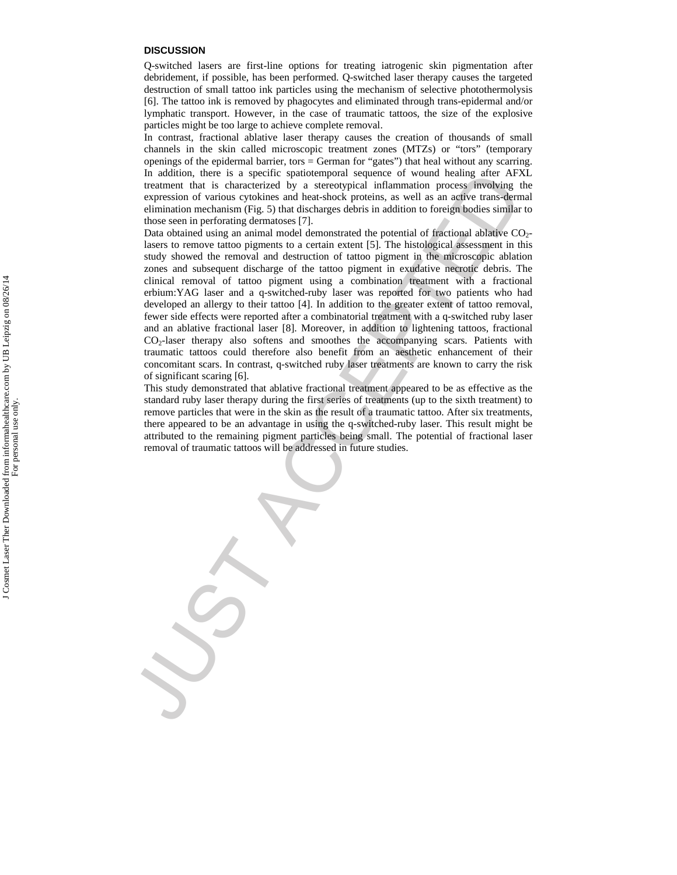#### **DISCUSSION**

Q-switched lasers are first-line options for treating iatrogenic skin pigmentation after debridement, if possible, has been performed. Q-switched laser therapy causes the targeted destruction of small tattoo ink particles using the mechanism of selective photothermolysis [6]. The tattoo ink is removed by phagocytes and eliminated through trans-epidermal and/or lymphatic transport. However, in the case of traumatic tattoos, the size of the explosive particles might be too large to achieve complete removal.

In contrast, fractional ablative laser therapy causes the creation of thousands of small channels in the skin called microscopic treatment zones (MTZs) or "tors" (temporary openings of the epidermal barrier, tors = German for "gates") that heal without any scarring. In addition, there is a specific spatiotemporal sequence of wound healing after AFXL treatment that is characterized by a stereotypical inflammation process involving the expression of various cytokines and heat-shock proteins, as well as an active trans-dermal elimination mechanism (Fig. 5) that discharges debris in addition to foreign bodies similar to those seen in perforating dermatoses [7].

In addition, there is a specific spation<br>propherical states and space of wound healing after APS and the states<br>of two access function process involving the results of two states of<br>proposition of various cytologies and b Data obtained using an animal model demonstrated the potential of fractional ablative  $CO<sub>2</sub>$ lasers to remove tattoo pigments to a certain extent [5]. The histological assessment in this study showed the removal and destruction of tattoo pigment in the microscopic ablation zones and subsequent discharge of the tattoo pigment in exudative necrotic debris. The clinical removal of tattoo pigment using a combination treatment with a fractional erbium:YAG laser and a q-switched-ruby laser was reported for two patients who had developed an allergy to their tattoo [4]. In addition to the greater extent of tattoo removal, fewer side effects were reported after a combinatorial treatment with a q-switched ruby laser and an ablative fractional laser [8]. Moreover, in addition to lightening tattoos, fractional CO2-laser therapy also softens and smoothes the accompanying scars. Patients with traumatic tattoos could therefore also benefit from an aesthetic enhancement of their concomitant scars. In contrast, q-switched ruby laser treatments are known to carry the risk of significant scaring [6].

This study demonstrated that ablative fractional treatment appeared to be as effective as the standard ruby laser therapy during the first series of treatments (up to the sixth treatment) to remove particles that were in the skin as the result of a traumatic tattoo. After six treatments, there appeared to be an advantage in using the q-switched-ruby laser. This result might be attributed to the remaining pigment particles being small. The potential of fractional laser removal of traumatic tattoos will be addressed in future studies.

J Cosmet Laser Ther Downloaded from informahealthcare.com by UB Leipzig on 08/26/14<br>For personal use only. J Cosmet Laser Ther Downloaded from informahealthcare.com by UB Leipzig on 08/26/14 For personal use only.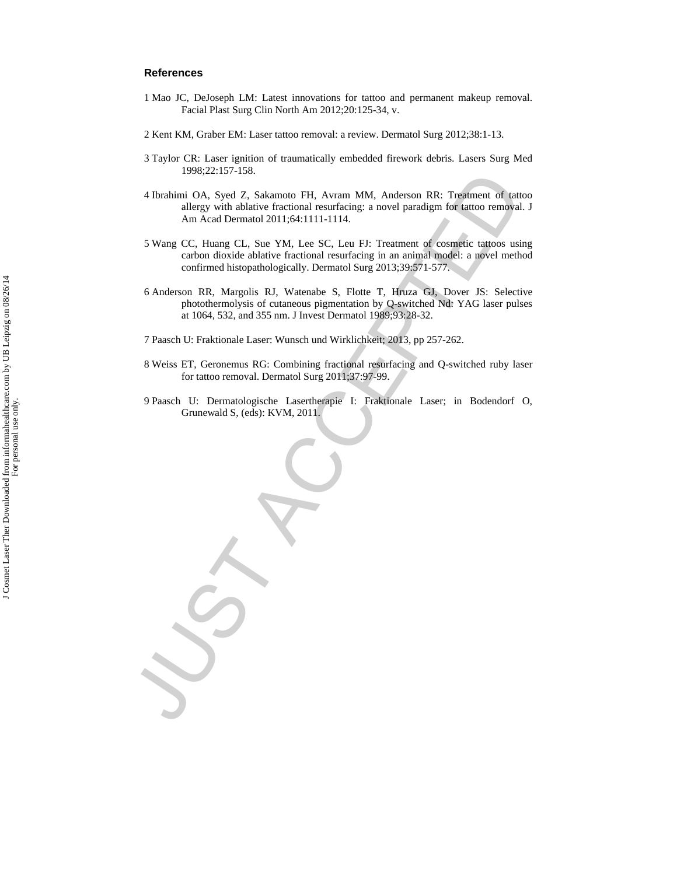#### **References**

- 1 Mao JC, DeJoseph LM: Latest innovations for tattoo and permanent makeup removal. Facial Plast Surg Clin North Am 2012;20:125-34, v.
- 2 Kent KM, Graber EM: Laser tattoo removal: a review. Dermatol Surg 2012;38:1-13.
- 3 Taylor CR: Laser ignition of traumatically embedded firework debris. Lasers Surg Med 1998;22:157-158.
- 4 Ibrahimi OA, Syed Z, Sakamoto FH, Avram MM, Anderson RR: Treatment of tattoo allergy with ablative fractional resurfacing: a novel paradigm for tattoo removal. J Am Acad Dermatol 2011;64:1111-1114.
- 5 Wang CC, Huang CL, Sue YM, Lee SC, Leu FJ: Treatment of cosmetic tattoos using carbon dioxide ablative fractional resurfacing in an animal model: a novel method confirmed histopathologically. Dermatol Surg 2013;39:571-577.
- 1996/24717-130<br>
2004 Schimmic OA, Speel 2, Sakarnoto FH, Avram MM, Anderson RR: Treatment of tast<br>
altery with ablative fractional resurrating: a novel paradigm for tattoo removed<br>
Am Accel Dermotol 2011-641111-1114.<br>
5 Wa 6 Anderson RR, Margolis RJ, Watenabe S, Flotte T, Hruza GJ, Dover JS: Selective photothermolysis of cutaneous pigmentation by Q-switched Nd: YAG laser pulses at 1064, 532, and 355 nm. J Invest Dermatol 1989;93:28-32.
	- 7 Paasch U: Fraktionale Laser: Wunsch und Wirklichkeit; 2013, pp 257-262.
	- 8 Weiss ET, Geronemus RG: Combining fractional resurfacing and Q-switched ruby laser for tattoo removal. Dermatol Surg 2011;37:97-99.
	- 9 Paasch U: Dermatologische Lasertherapie I: Fraktionale Laser; in Bodendorf O, Grunewald S, (eds): KVM, 2011.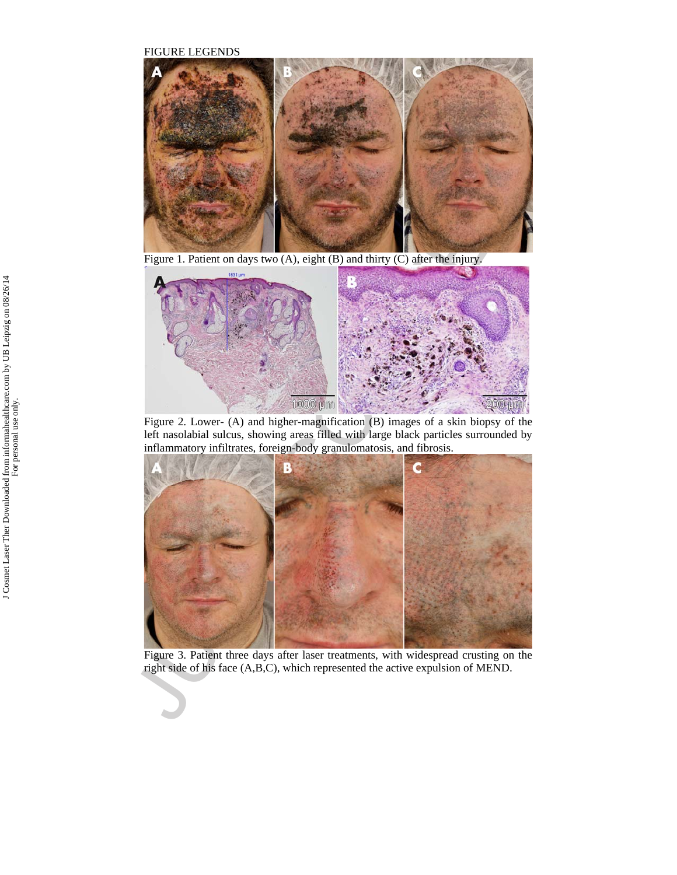FIGURE LEGENDS



Figure 1. Patient on days two (A), eight (B) and thirty (C) after the injury.



Figure 2. Lower- (A) and higher-magnification (B) images of a skin biopsy of the left nasolabial sulcus, showing areas filled with large black particles surrounded by inflammatory infiltrates, foreign-body granulomatosis, and fibrosis.



Figure 3. Patient three days after laser treatments, with widespread crusting on the right side of his face (A,B,C), which represented the active expulsion of MEND.